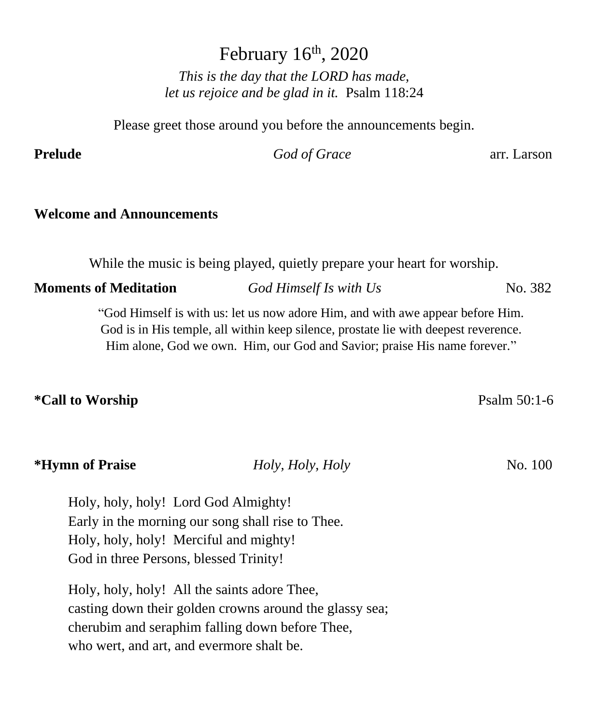February 16<sup>th</sup>, 2020 *This is the day that the LORD has made, let us rejoice and be glad in it.* Psalm 118:24

Please greet those around you before the announcements begin.

## **Prelude** *God of Grace* arr. Larson

# **Welcome and Announcements**

While the music is being played, quietly prepare your heart for worship.

**Moments of Meditation** *God Himself Is with Us* No. 382

"God Himself is with us: let us now adore Him, and with awe appear before Him. God is in His temple, all within keep silence, prostate lie with deepest reverence. Him alone, God we own. Him, our God and Savior; praise His name forever."

## **\*Call to Worship** Psalm 50:1-6

| <i><b>*Hymn of Praise</b></i> | Holy, Holy, Holy | No. 100 |
|-------------------------------|------------------|---------|
|                               |                  |         |

Holy, holy, holy! Lord God Almighty! Early in the morning our song shall rise to Thee. Holy, holy, holy! Merciful and mighty! God in three Persons, blessed Trinity!

Holy, holy, holy! All the saints adore Thee, casting down their golden crowns around the glassy sea; cherubim and seraphim falling down before Thee, who wert, and art, and evermore shalt be.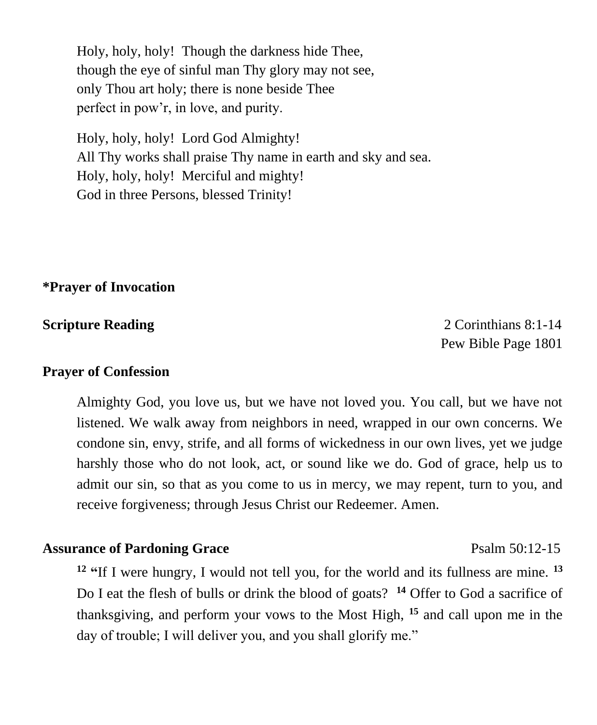Holy, holy, holy! Though the darkness hide Thee, though the eye of sinful man Thy glory may not see, only Thou art holy; there is none beside Thee perfect in pow'r, in love, and purity.

Holy, holy, holy! Lord God Almighty! All Thy works shall praise Thy name in earth and sky and sea. Holy, holy, holy! Merciful and mighty! God in three Persons, blessed Trinity!

**\*Prayer of Invocation** 

**Scripture Reading 2 Corinthians 8:1-14** Pew Bible Page 1801

#### **Prayer of Confession**

Almighty God, you love us, but we have not loved you. You call, but we have not listened. We walk away from neighbors in need, wrapped in our own concerns. We condone sin, envy, strife, and all forms of wickedness in our own lives, yet we judge harshly those who do not look, act, or sound like we do. God of grace, help us to admit our sin, so that as you come to us in mercy, we may repent, turn to you, and receive forgiveness; through Jesus Christ our Redeemer. Amen.

### **Assurance of Pardoning Grace** Psalm 50:12-15

**<sup>12</sup> "**If I were hungry, I would not tell you, for the world and its fullness are mine. **<sup>13</sup>** Do I eat the flesh of bulls or drink the blood of goats? **<sup>14</sup>** Offer to God a sacrifice of thanksgiving, and perform your vows to the Most High, **<sup>15</sup>** and call upon me in the day of trouble; I will deliver you, and you shall glorify me."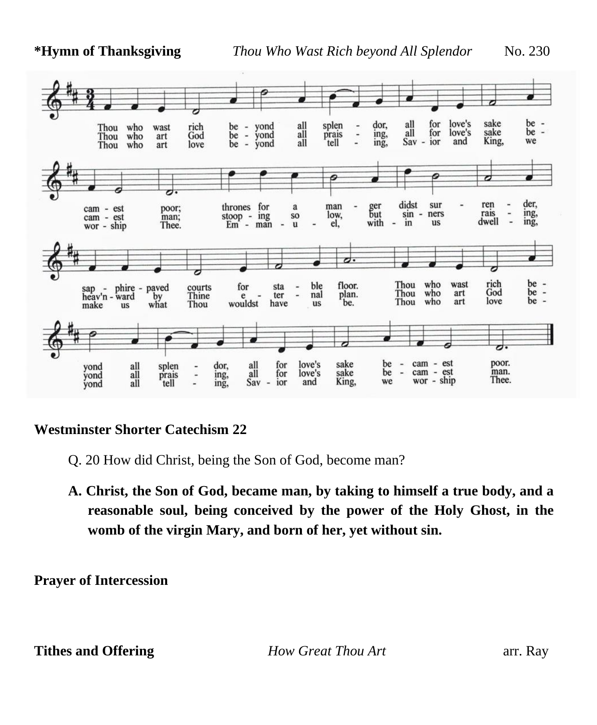

## **Westminster Shorter Catechism 22**

- Q. 20 How did Christ, being the Son of God, become man?
- **A. Christ, the Son of God, became man, by taking to himself a true body, and a reasonable soul, being conceived by the power of the Holy Ghost, in the womb of the virgin Mary, and born of her, yet without sin.**

**Prayer of Intercession**

**Tithes and Offering** *Phone Great Thou Art**arr. Ray**arr. Ray*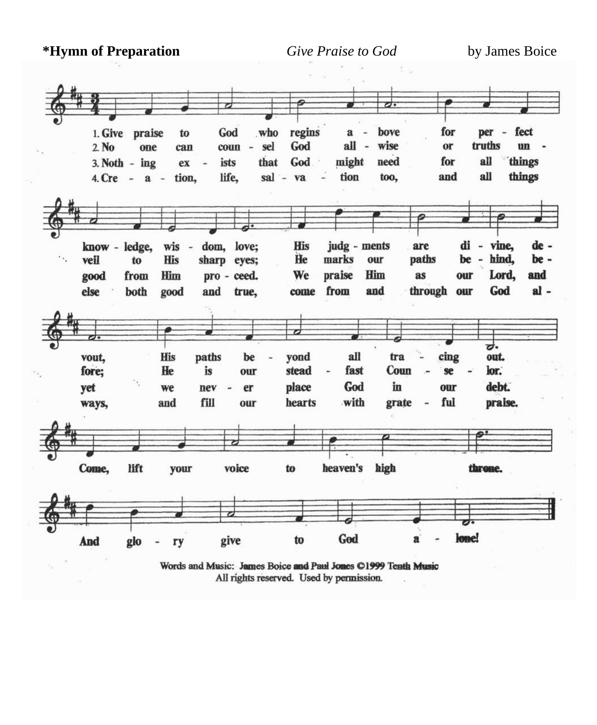**\*Hymn of Preparation** *Give Praise to God* by James Boice



All rights reserved. Used by permission.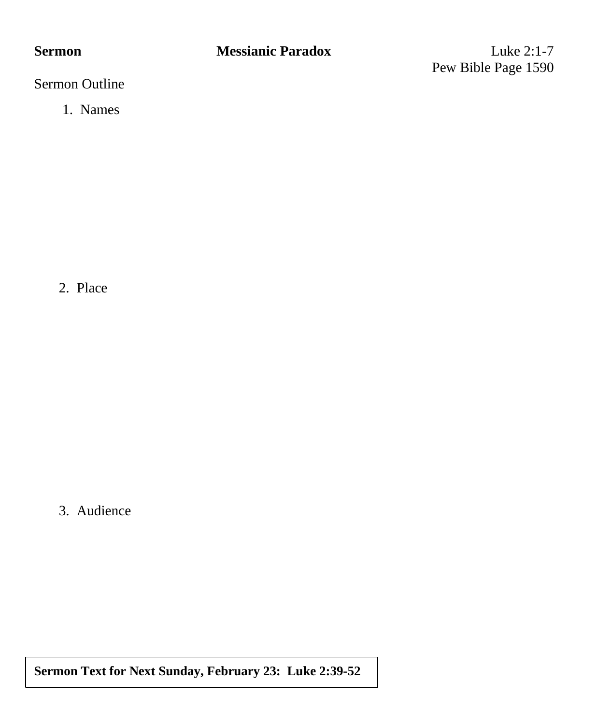# **Sermon** Messianic Paradox Luke 2:1-7

Pew Bible Page 1590

Sermon Outline

1. Names

2. Place

3. Audience

**Sermon Text for Next Sunday, February 23: Luke 2:39-52**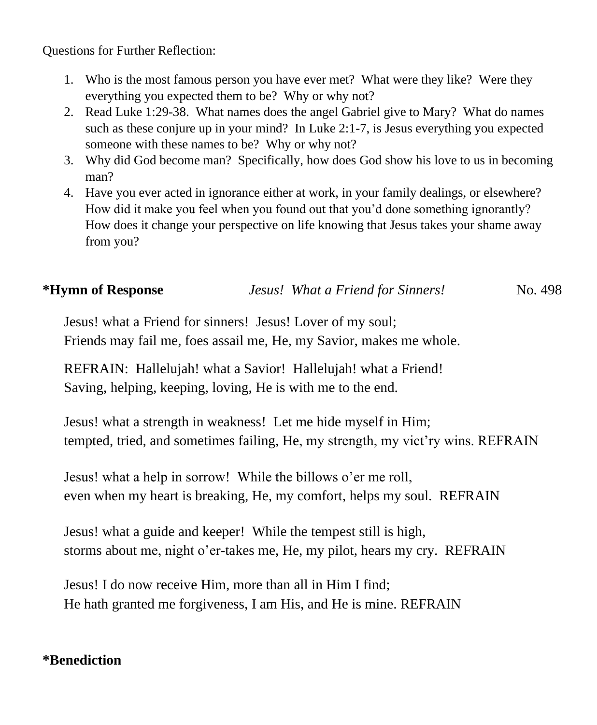Questions for Further Reflection:

- 1. Who is the most famous person you have ever met? What were they like? Were they everything you expected them to be? Why or why not?
- 2. Read Luke 1:29-38. What names does the angel Gabriel give to Mary? What do names such as these conjure up in your mind? In Luke 2:1-7, is Jesus everything you expected someone with these names to be? Why or why not?
- 3. Why did God become man? Specifically, how does God show his love to us in becoming man?
- 4. Have you ever acted in ignorance either at work, in your family dealings, or elsewhere? How did it make you feel when you found out that you'd done something ignorantly? How does it change your perspective on life knowing that Jesus takes your shame away from you?

| *Hymn of Response | Jesus! What a Friend for Sinners! | No. 498 |
|-------------------|-----------------------------------|---------|
|-------------------|-----------------------------------|---------|

Jesus! what a Friend for sinners! Jesus! Lover of my soul; Friends may fail me, foes assail me, He, my Savior, makes me whole.

REFRAIN: Hallelujah! what a Savior! Hallelujah! what a Friend! Saving, helping, keeping, loving, He is with me to the end.

Jesus! what a strength in weakness! Let me hide myself in Him; tempted, tried, and sometimes failing, He, my strength, my vict'ry wins. REFRAIN

Jesus! what a help in sorrow! While the billows o'er me roll, even when my heart is breaking, He, my comfort, helps my soul. REFRAIN

Jesus! what a guide and keeper! While the tempest still is high, storms about me, night o'er-takes me, He, my pilot, hears my cry. REFRAIN

Jesus! I do now receive Him, more than all in Him I find; He hath granted me forgiveness, I am His, and He is mine. REFRAIN

# **\*Benediction**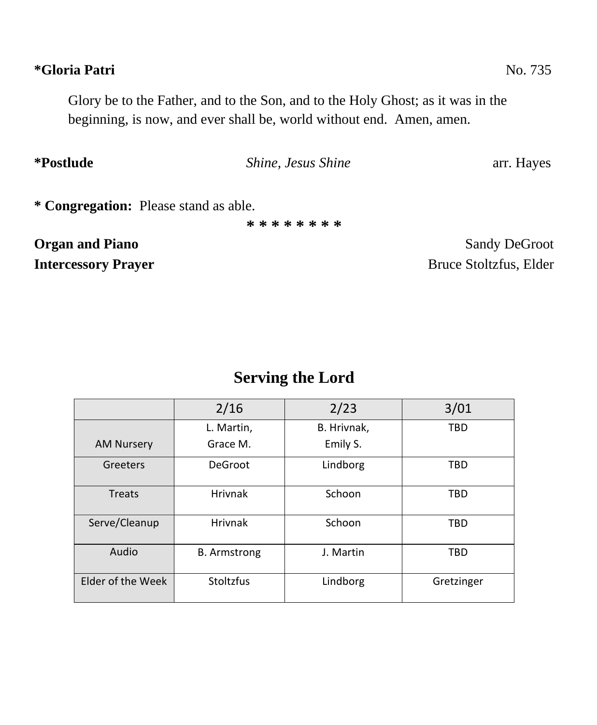# **\*Gloria Patri** No. 735

Glory be to the Father, and to the Son, and to the Holy Ghost; as it was in the beginning, is now, and ever shall be, world without end. Amen, amen.

**\*Postlude** *Shine, Jesus Shine* arr. Hayes **\* Congregation:** Please stand as able. **\* \* \* \* \* \* \* \***

**Organ and Piano** Sandy DeGroot **Intercessory Prayer** Bruce Stoltzfus, Elder

# **Serving the Lord**

|                   | 2/16                | 2/23        | 3/01       |
|-------------------|---------------------|-------------|------------|
|                   | L. Martin,          | B. Hrivnak, | <b>TBD</b> |
| <b>AM Nursery</b> | Grace M.            | Emily S.    |            |
| Greeters          | DeGroot             | Lindborg    | <b>TBD</b> |
| Treats            | Hrivnak             | Schoon      | <b>TBD</b> |
| Serve/Cleanup     | <b>Hrivnak</b>      | Schoon      | <b>TBD</b> |
| Audio             | <b>B.</b> Armstrong | J. Martin   | <b>TBD</b> |
| Elder of the Week | Stoltzfus           | Lindborg    | Gretzinger |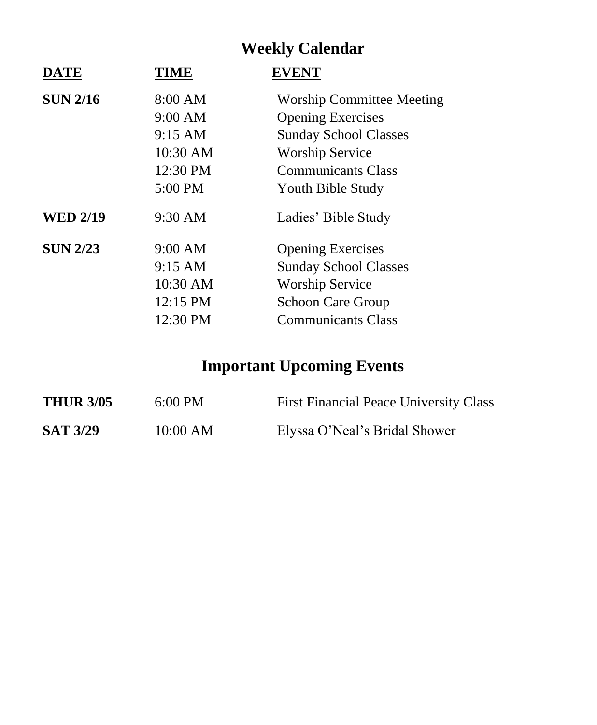# **Weekly Calendar**

| <b>DATE</b>     | <b>TIME</b>       | <b>EVENT</b>                     |
|-----------------|-------------------|----------------------------------|
| <b>SUN 2/16</b> | 8:00 AM           | <b>Worship Committee Meeting</b> |
|                 | $9:00$ AM         | <b>Opening Exercises</b>         |
|                 | $9:15 \text{ AM}$ | <b>Sunday School Classes</b>     |
|                 | 10:30 AM          | <b>Worship Service</b>           |
|                 | 12:30 PM          | <b>Communicants Class</b>        |
|                 | 5:00 PM           | Youth Bible Study                |
| <b>WED 2/19</b> | 9:30 AM           | Ladies' Bible Study              |
| <b>SUN 2/23</b> | $9:00$ AM         | <b>Opening Exercises</b>         |
|                 | $9:15 \text{ AM}$ | <b>Sunday School Classes</b>     |
|                 | 10:30 AM          | <b>Worship Service</b>           |
|                 | 12:15 PM          | <b>Schoon Care Group</b>         |
|                 | 12:30 PM          | <b>Communicants Class</b>        |

# **Important Upcoming Events**

| <b>THUR 3/05</b> | $6:00 \text{ PM}$ | <b>First Financial Peace University Class</b> |
|------------------|-------------------|-----------------------------------------------|
| <b>SAT 3/29</b>  | 10:00 AM          | Elyssa O'Neal's Bridal Shower                 |